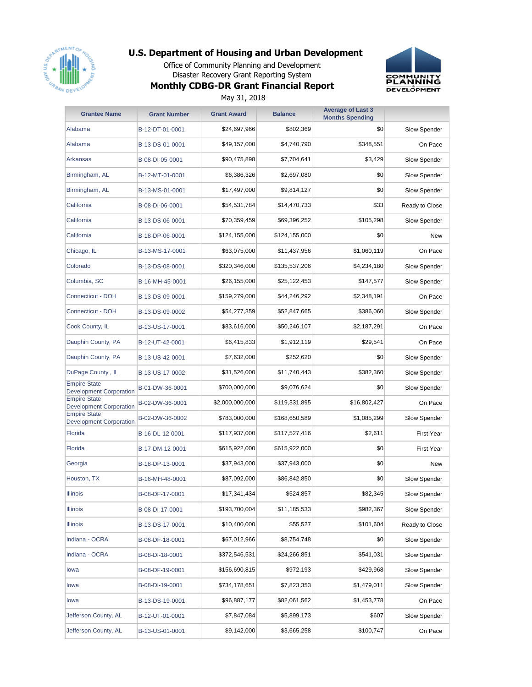

Office of Community Planning and Development Disaster Recovery Grant Reporting System



# **Monthly CDBG-DR Grant Financial Report**

May 31, 2018

| <b>Grantee Name</b>                                   | <b>Grant Number</b> | <b>Grant Award</b> | <b>Balance</b> | <b>Average of Last 3</b><br><b>Months Spending</b> |                   |
|-------------------------------------------------------|---------------------|--------------------|----------------|----------------------------------------------------|-------------------|
| Alabama                                               | B-12-DT-01-0001     | \$24,697,966       | \$802,369      | \$0                                                | Slow Spender      |
| Alabama                                               | B-13-DS-01-0001     | \$49,157,000       | \$4,740,790    | \$348,551                                          | On Pace           |
| Arkansas                                              | B-08-DI-05-0001     | \$90,475,898       | \$7,704,641    | \$3,429                                            | Slow Spender      |
| Birmingham, AL                                        | B-12-MT-01-0001     | \$6,386,326        | \$2,697,080    | \$0                                                | Slow Spender      |
| Birmingham, AL                                        | B-13-MS-01-0001     | \$17,497,000       | \$9,814,127    | \$0                                                | Slow Spender      |
| California                                            | B-08-DI-06-0001     | \$54,531,784       | \$14,470,733   | \$33                                               | Ready to Close    |
| California                                            | B-13-DS-06-0001     | \$70,359,459       | \$69,396,252   | \$105,298                                          | Slow Spender      |
| California                                            | B-18-DP-06-0001     | \$124,155,000      | \$124,155,000  | \$0                                                | New               |
| Chicago, IL                                           | B-13-MS-17-0001     | \$63,075,000       | \$11,437,956   | \$1,060,119                                        | On Pace           |
| Colorado                                              | B-13-DS-08-0001     | \$320,346,000      | \$135,537,206  | \$4,234,180                                        | Slow Spender      |
| Columbia, SC                                          | B-16-MH-45-0001     | \$26,155,000       | \$25,122,453   | \$147,577                                          | Slow Spender      |
| Connecticut - DOH                                     | B-13-DS-09-0001     | \$159,279,000      | \$44,246,292   | \$2,348,191                                        | On Pace           |
| Connecticut - DOH                                     | B-13-DS-09-0002     | \$54,277,359       | \$52,847,665   | \$386,060                                          | Slow Spender      |
| Cook County, IL                                       | B-13-US-17-0001     | \$83,616,000       | \$50,246,107   | \$2,187,291                                        | On Pace           |
| Dauphin County, PA                                    | B-12-UT-42-0001     | \$6,415,833        | \$1,912,119    | \$29,541                                           | On Pace           |
| Dauphin County, PA                                    | B-13-US-42-0001     | \$7,632,000        | \$252,620      | \$0                                                | Slow Spender      |
| DuPage County, IL                                     | B-13-US-17-0002     | \$31,526,000       | \$11,740,443   | \$382,360                                          | Slow Spender      |
| <b>Empire State</b><br><b>Development Corporation</b> | B-01-DW-36-0001     | \$700,000,000      | \$9,076,624    | \$0                                                | Slow Spender      |
| <b>Empire State</b><br><b>Development Corporation</b> | B-02-DW-36-0001     | \$2,000,000,000    | \$119,331,895  | \$16,802,427                                       | On Pace           |
| <b>Empire State</b><br><b>Development Corporation</b> | B-02-DW-36-0002     | \$783,000,000      | \$168,650,589  | \$1,085,299                                        | Slow Spender      |
| Florida                                               | B-16-DL-12-0001     | \$117,937,000      | \$117,527,416  | \$2,611                                            | <b>First Year</b> |
| Florida                                               | B-17-DM-12-0001     | \$615,922,000      | \$615,922,000  | \$0                                                | <b>First Year</b> |
| Georgia                                               | B-18-DP-13-0001     | \$37,943,000       | \$37,943,000   | \$0                                                | New               |
| Houston, TX                                           | B-16-MH-48-0001     | \$87,092,000       | \$86,842,850   | \$0                                                | Slow Spender      |
| <b>Illinois</b>                                       | B-08-DF-17-0001     | \$17,341,434       | \$524,857      | \$82,345                                           | Slow Spender      |
| <b>Illinois</b>                                       | B-08-DI-17-0001     | \$193,700,004      | \$11,185,533   | \$982,367                                          | Slow Spender      |
| <b>Illinois</b>                                       | B-13-DS-17-0001     | \$10,400,000       | \$55,527       | \$101,604                                          | Ready to Close    |
| Indiana - OCRA                                        | B-08-DF-18-0001     | \$67,012,966       | \$8,754,748    | \$0                                                | Slow Spender      |
| Indiana - OCRA                                        | B-08-DI-18-0001     | \$372,546,531      | \$24,266,851   | \$541,031                                          | Slow Spender      |
| lowa                                                  | B-08-DF-19-0001     | \$156,690,815      | \$972,193      | \$429,968                                          | Slow Spender      |
| lowa                                                  | B-08-DI-19-0001     | \$734,178,651      | \$7,823,353    | \$1,479,011                                        | Slow Spender      |
| lowa                                                  | B-13-DS-19-0001     | \$96,887,177       | \$82,061,562   | \$1,453,778                                        | On Pace           |
| Jefferson County, AL                                  | B-12-UT-01-0001     | \$7,847,084        | \$5,899,173    | \$607                                              | Slow Spender      |
| Jefferson County, AL                                  | B-13-US-01-0001     | \$9,142,000        | \$3,665,258    | \$100,747                                          | On Pace           |
|                                                       |                     |                    |                |                                                    |                   |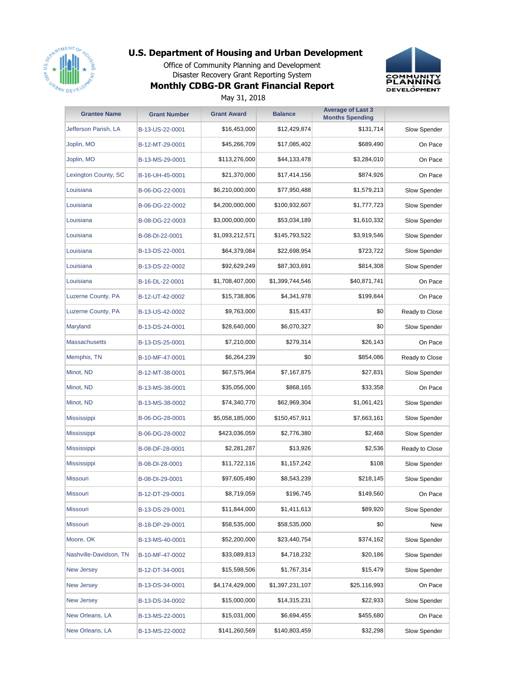

Office of Community Planning and Development Disaster Recovery Grant Reporting System





May 31, 2018

| <b>Grantee Name</b>    | <b>Grant Number</b> | <b>Grant Award</b> | <b>Balance</b>  | <b>Average of Last 3</b><br><b>Months Spending</b> |                |
|------------------------|---------------------|--------------------|-----------------|----------------------------------------------------|----------------|
| Jefferson Parish, LA   | B-13-US-22-0001     | \$16,453,000       | \$12,429,874    | \$131,714                                          | Slow Spender   |
| Joplin, MO             | B-12-MT-29-0001     | \$45,266,709       | \$17,085,402    | \$689,490                                          | On Pace        |
| Joplin, MO             | B-13-MS-29-0001     | \$113,276,000      | \$44,133,478    | \$3,284,010                                        | On Pace        |
| Lexington County, SC   | B-16-UH-45-0001     | \$21,370,000       | \$17,414,156    | \$874,926                                          | On Pace        |
| Louisiana              | B-06-DG-22-0001     | \$6,210,000,000    | \$77,950,488    | \$1,579,213                                        | Slow Spender   |
| Louisiana              | B-06-DG-22-0002     | \$4,200,000,000    | \$100,932,607   | \$1,777,723                                        | Slow Spender   |
| Louisiana              | B-08-DG-22-0003     | \$3,000,000,000    | \$53,034,189    | \$1,610,332                                        | Slow Spender   |
| Louisiana              | B-08-DI-22-0001     | \$1,093,212,571    | \$145,793,522   | \$3,919,546                                        | Slow Spender   |
| Louisiana              | B-13-DS-22-0001     | \$64,379,084       | \$22,698,954    | \$723,722                                          | Slow Spender   |
| Louisiana              | B-13-DS-22-0002     | \$92,629,249       | \$87,303,691    | \$814,308                                          | Slow Spender   |
| Louisiana              | B-16-DL-22-0001     | \$1,708,407,000    | \$1,399,744,546 | \$40,871,741                                       | On Pace        |
| Luzerne County, PA     | B-12-UT-42-0002     | \$15,738,806       | \$4,341,978     | \$199,844                                          | On Pace        |
| Luzerne County, PA     | B-13-US-42-0002     | \$9,763,000        | \$15,437        | \$0                                                | Ready to Close |
| Maryland               | B-13-DS-24-0001     | \$28,640,000       | \$6,070,327     | \$0                                                | Slow Spender   |
| <b>Massachusetts</b>   | B-13-DS-25-0001     | \$7,210,000        | \$279,314       | \$26,143                                           | On Pace        |
| Memphis, TN            | B-10-MF-47-0001     | \$6,264,239        | \$0             | \$854,086                                          | Ready to Close |
| Minot, ND              | B-12-MT-38-0001     | \$67,575,964       | \$7,167,875     | \$27,831                                           | Slow Spender   |
| Minot, ND              | B-13-MS-38-0001     | \$35,056,000       | \$868,165       | \$33,358                                           | On Pace        |
| Minot, ND              | B-13-MS-38-0002     | \$74,340,770       | \$62,969,304    | \$1,061,421                                        | Slow Spender   |
| Mississippi            | B-06-DG-28-0001     | \$5,058,185,000    | \$150,457,911   | \$7,663,161                                        | Slow Spender   |
| <b>Mississippi</b>     | B-06-DG-28-0002     | \$423,036,059      | \$2,776,380     | \$2,468                                            | Slow Spender   |
| Mississippi            | B-08-DF-28-0001     | \$2,281,287        | \$13,926        | \$2,536                                            | Ready to Close |
| <b>Mississippi</b>     | B-08-DI-28-0001     | \$11,722,116       | \$1,157,242     | \$108                                              | Slow Spender   |
| <b>Missouri</b>        | B-08-DI-29-0001     | \$97,605,490       | \$8,543,239     | \$218,145                                          | Slow Spender   |
| Missouri               | B-12-DT-29-0001     | \$8,719,059        | \$196,745       | \$149,560                                          | On Pace        |
| <b>Missouri</b>        | B-13-DS-29-0001     | \$11,844,000       | \$1,411,613     | \$89,920                                           | Slow Spender   |
| <b>Missouri</b>        | B-18-DP-29-0001     | \$58,535,000       | \$58,535,000    | \$0                                                | <b>New</b>     |
| Moore, OK              | B-13-MS-40-0001     | \$52,200,000       | \$23,440,754    | \$374,162                                          | Slow Spender   |
| Nashville-Davidson, TN | B-10-MF-47-0002     | \$33,089,813       | \$4,718,232     | \$20,186                                           | Slow Spender   |
| <b>New Jersey</b>      | B-12-DT-34-0001     | \$15,598,506       | \$1,767,314     | \$15,479                                           | Slow Spender   |
| <b>New Jersey</b>      | B-13-DS-34-0001     | \$4,174,429,000    | \$1,397,231,107 | \$25,116,993                                       | On Pace        |
| <b>New Jersey</b>      | B-13-DS-34-0002     | \$15,000,000       | \$14,315,231    | \$22,933                                           | Slow Spender   |
| New Orleans, LA        | B-13-MS-22-0001     | \$15,031,000       | \$6,694,455     | \$455,680                                          | On Pace        |
| New Orleans, LA        | B-13-MS-22-0002     | \$141,260,569      | \$140,803,459   | \$32,298                                           | Slow Spender   |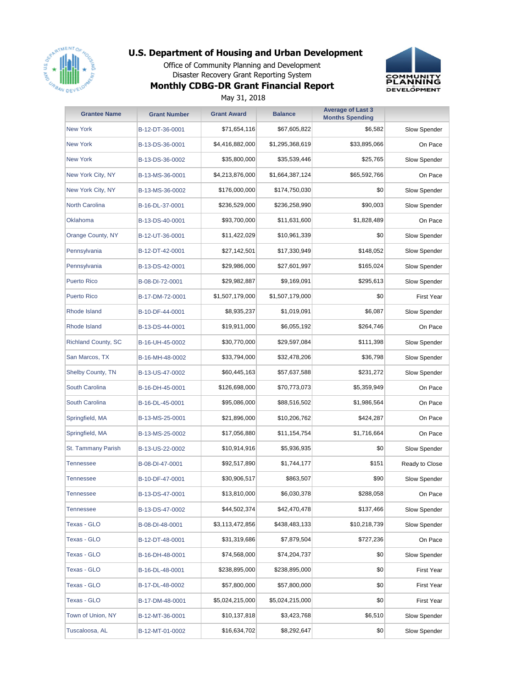

Office of Community Planning and Development Disaster Recovery Grant Reporting System





May 31, 2018

| <b>Grantee Name</b>        | <b>Grant Number</b> | <b>Grant Award</b> | <b>Balance</b>  | <b>Average of Last 3</b><br><b>Months Spending</b> |                   |
|----------------------------|---------------------|--------------------|-----------------|----------------------------------------------------|-------------------|
| <b>New York</b>            | B-12-DT-36-0001     | \$71,654,116       | \$67,605,822    | \$6,582                                            | Slow Spender      |
| <b>New York</b>            | B-13-DS-36-0001     | \$4,416,882,000    | \$1,295,368,619 | \$33,895,066                                       | On Pace           |
| <b>New York</b>            | B-13-DS-36-0002     | \$35,800,000       | \$35,539,446    | \$25,765                                           | Slow Spender      |
| New York City, NY          | B-13-MS-36-0001     | \$4,213,876,000    | \$1,664,387,124 | \$65,592,766                                       | On Pace           |
| New York City, NY          | B-13-MS-36-0002     | \$176,000,000      | \$174,750,030   | \$0                                                | Slow Spender      |
| <b>North Carolina</b>      | B-16-DL-37-0001     | \$236,529,000      | \$236,258,990   | \$90,003                                           | Slow Spender      |
| Oklahoma                   | B-13-DS-40-0001     | \$93,700,000       | \$11,631,600    | \$1,828,489                                        | On Pace           |
| Orange County, NY          | B-12-UT-36-0001     | \$11,422,029       | \$10,961,339    | \$0                                                | Slow Spender      |
| Pennsylvania               | B-12-DT-42-0001     | \$27,142,501       | \$17,330,949    | \$148,052                                          | Slow Spender      |
| Pennsylvania               | B-13-DS-42-0001     | \$29,986,000       | \$27,601,997    | \$165,024                                          | Slow Spender      |
| <b>Puerto Rico</b>         | B-08-DI-72-0001     | \$29,982,887       | \$9,169,091     | \$295,613                                          | Slow Spender      |
| <b>Puerto Rico</b>         | B-17-DM-72-0001     | \$1,507,179,000    | \$1,507,179,000 | \$0                                                | <b>First Year</b> |
| Rhode Island               | B-10-DF-44-0001     | \$8,935,237        | \$1,019,091     | \$6,087                                            | Slow Spender      |
| Rhode Island               | B-13-DS-44-0001     | \$19,911,000       | \$6,055,192     | \$264,746                                          | On Pace           |
| <b>Richland County, SC</b> | B-16-UH-45-0002     | \$30,770,000       | \$29,597,084    | \$111,398                                          | Slow Spender      |
| San Marcos, TX             | B-16-MH-48-0002     | \$33,794,000       | \$32,478,206    | \$36,798                                           | Slow Spender      |
| Shelby County, TN          | B-13-US-47-0002     | \$60,445,163       | \$57,637,588    | \$231,272                                          | Slow Spender      |
| South Carolina             | B-16-DH-45-0001     | \$126,698,000      | \$70,773,073    | \$5,359,949                                        | On Pace           |
| South Carolina             | B-16-DL-45-0001     | \$95,086,000       | \$88,516,502    | \$1,986,564                                        | On Pace           |
| Springfield, MA            | B-13-MS-25-0001     | \$21,896,000       | \$10,206,762    | \$424,287                                          | On Pace           |
| Springfield, MA            | B-13-MS-25-0002     | \$17,056,880       | \$11,154,754    | \$1,716,664                                        | On Pace           |
| St. Tammany Parish         | B-13-US-22-0002     | \$10,914,916       | \$5,936,935     | \$0                                                | Slow Spender      |
| <b>Tennessee</b>           | B-08-DI-47-0001     | \$92,517,890       | \$1,744,177     | \$151                                              | Ready to Close    |
| <b>Tennessee</b>           | B-10-DF-47-0001     | \$30,906,517       | \$863,507       | \$90                                               | Slow Spender      |
| Tennessee                  | B-13-DS-47-0001     | \$13,810,000       | \$6,030,378     | \$288,058                                          | On Pace           |
| <b>Tennessee</b>           | B-13-DS-47-0002     | \$44,502,374       | \$42,470,478    | \$137,466                                          | Slow Spender      |
| <b>Texas - GLO</b>         | B-08-DI-48-0001     | \$3,113,472,856    | \$438,483,133   | \$10,218,739                                       | Slow Spender      |
| Texas - GLO                | B-12-DT-48-0001     | \$31,319,686       | \$7,879,504     | \$727,236                                          | On Pace           |
| Texas - GLO                | B-16-DH-48-0001     | \$74,568,000       | \$74,204,737    | \$0                                                | Slow Spender      |
| Texas - GLO                | B-16-DL-48-0001     | \$238,895,000      | \$238,895,000   | \$0                                                | <b>First Year</b> |
| Texas - GLO                | B-17-DL-48-0002     | \$57,800,000       | \$57,800,000    | \$0                                                | <b>First Year</b> |
| Texas - GLO                | B-17-DM-48-0001     | \$5,024,215,000    | \$5,024,215,000 | \$0                                                | First Year        |
| Town of Union, NY          | B-12-MT-36-0001     | \$10,137,818       | \$3,423,768     | \$6,510                                            | Slow Spender      |
| Tuscaloosa, AL             | B-12-MT-01-0002     | \$16,634,702       | \$8,292,647     | \$0                                                | Slow Spender      |